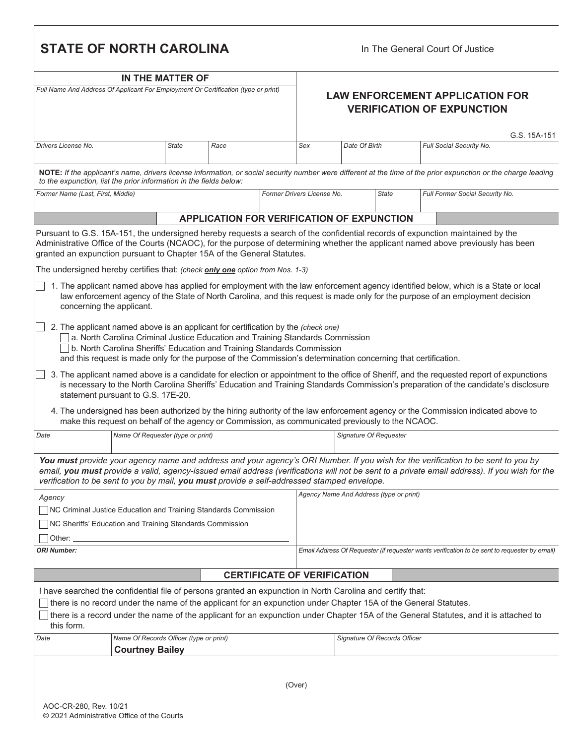| <b>STATE OF NORTH CAROLINA</b>                                                     |                                                                   |              |                                                                                                                                                                                                                                                                                                                                                                                                                                      |                            |                                                                             | In The General Court Of Justice |                                         |  |                                                                                                                                                                                                                                                                                    |  |  |
|------------------------------------------------------------------------------------|-------------------------------------------------------------------|--------------|--------------------------------------------------------------------------------------------------------------------------------------------------------------------------------------------------------------------------------------------------------------------------------------------------------------------------------------------------------------------------------------------------------------------------------------|----------------------------|-----------------------------------------------------------------------------|---------------------------------|-----------------------------------------|--|------------------------------------------------------------------------------------------------------------------------------------------------------------------------------------------------------------------------------------------------------------------------------------|--|--|
|                                                                                    | IN THE MATTER OF                                                  |              |                                                                                                                                                                                                                                                                                                                                                                                                                                      |                            |                                                                             |                                 |                                         |  |                                                                                                                                                                                                                                                                                    |  |  |
| Full Name And Address Of Applicant For Employment Or Certification (type or print) |                                                                   |              |                                                                                                                                                                                                                                                                                                                                                                                                                                      |                            | <b>LAW ENFORCEMENT APPLICATION FOR</b><br><b>VERIFICATION OF EXPUNCTION</b> |                                 |                                         |  |                                                                                                                                                                                                                                                                                    |  |  |
|                                                                                    |                                                                   |              |                                                                                                                                                                                                                                                                                                                                                                                                                                      |                            |                                                                             |                                 |                                         |  | G.S. 15A-151                                                                                                                                                                                                                                                                       |  |  |
| Drivers License No.                                                                |                                                                   | <b>State</b> | Race                                                                                                                                                                                                                                                                                                                                                                                                                                 | Sex                        |                                                                             | Date Of Birth                   |                                         |  | Full Social Security No.                                                                                                                                                                                                                                                           |  |  |
| to the expunction, list the prior information in the fields below:                 |                                                                   |              |                                                                                                                                                                                                                                                                                                                                                                                                                                      |                            |                                                                             |                                 |                                         |  | NOTE: If the applicant's name, drivers license information, or social security number were different at the time of the prior expunction or the charge leading                                                                                                                     |  |  |
| Former Name (Last, First, Middle)                                                  |                                                                   |              |                                                                                                                                                                                                                                                                                                                                                                                                                                      | Former Drivers License No. |                                                                             |                                 | <b>State</b>                            |  | Full Former Social Security No.                                                                                                                                                                                                                                                    |  |  |
|                                                                                    |                                                                   |              | <b>APPLICATION FOR VERIFICATION OF EXPUNCTION</b>                                                                                                                                                                                                                                                                                                                                                                                    |                            |                                                                             |                                 |                                         |  |                                                                                                                                                                                                                                                                                    |  |  |
|                                                                                    |                                                                   |              | Pursuant to G.S. 15A-151, the undersigned hereby requests a search of the confidential records of expunction maintained by the<br>Administrative Office of the Courts (NCAOC), for the purpose of determining whether the applicant named above previously has been<br>granted an expunction pursuant to Chapter 15A of the General Statutes.<br>The undersigned hereby certifies that: (check <b>only one</b> option from Nos. 1-3) |                            |                                                                             |                                 |                                         |  |                                                                                                                                                                                                                                                                                    |  |  |
| concerning the applicant.                                                          |                                                                   |              | law enforcement agency of the State of North Carolina, and this request is made only for the purpose of an employment decision                                                                                                                                                                                                                                                                                                       |                            |                                                                             |                                 |                                         |  | 1. The applicant named above has applied for employment with the law enforcement agency identified below, which is a State or local                                                                                                                                                |  |  |
|                                                                                    |                                                                   |              | 2. The applicant named above is an applicant for certification by the (check one)<br>a. North Carolina Criminal Justice Education and Training Standards Commission<br>b. North Carolina Sheriffs' Education and Training Standards Commission<br>and this request is made only for the purpose of the Commission's determination concerning that certification.                                                                     |                            |                                                                             |                                 |                                         |  |                                                                                                                                                                                                                                                                                    |  |  |
|                                                                                    | statement pursuant to G.S. 17E-20.                                |              |                                                                                                                                                                                                                                                                                                                                                                                                                                      |                            |                                                                             |                                 |                                         |  | 3. The applicant named above is a candidate for election or appointment to the office of Sheriff, and the requested report of expunctions<br>is necessary to the North Carolina Sheriffs' Education and Training Standards Commission's preparation of the candidate's disclosure  |  |  |
|                                                                                    |                                                                   |              | 4. The undersigned has been authorized by the hiring authority of the law enforcement agency or the Commission indicated above to<br>make this request on behalf of the agency or Commission, as communicated previously to the NCAOC.                                                                                                                                                                                               |                            |                                                                             |                                 |                                         |  |                                                                                                                                                                                                                                                                                    |  |  |
| Date                                                                               | Name Of Requester (type or print)                                 |              |                                                                                                                                                                                                                                                                                                                                                                                                                                      |                            | Signature Of Requester                                                      |                                 |                                         |  |                                                                                                                                                                                                                                                                                    |  |  |
|                                                                                    |                                                                   |              | verification to be sent to you by mail, you must provide a self-addressed stamped envelope.                                                                                                                                                                                                                                                                                                                                          |                            |                                                                             |                                 |                                         |  | You must provide your agency name and address and your agency's ORI Number. If you wish for the verification to be sent to you by<br>email, you must provide a valid, agency-issued email address (verifications will not be sent to a private email address). If you wish for the |  |  |
| Agency                                                                             |                                                                   |              |                                                                                                                                                                                                                                                                                                                                                                                                                                      |                            |                                                                             |                                 | Agency Name And Address (type or print) |  |                                                                                                                                                                                                                                                                                    |  |  |
| NC Criminal Justice Education and Training Standards Commission                    |                                                                   |              |                                                                                                                                                                                                                                                                                                                                                                                                                                      |                            |                                                                             |                                 |                                         |  |                                                                                                                                                                                                                                                                                    |  |  |
| NC Sheriffs' Education and Training Standards Commission                           |                                                                   |              |                                                                                                                                                                                                                                                                                                                                                                                                                                      |                            |                                                                             |                                 |                                         |  |                                                                                                                                                                                                                                                                                    |  |  |
| Other:                                                                             |                                                                   |              |                                                                                                                                                                                                                                                                                                                                                                                                                                      |                            |                                                                             |                                 |                                         |  |                                                                                                                                                                                                                                                                                    |  |  |
| <b>ORI Number:</b>                                                                 |                                                                   |              |                                                                                                                                                                                                                                                                                                                                                                                                                                      |                            |                                                                             |                                 |                                         |  | Email Address Of Requester (if requester wants verification to be sent to requester by email)                                                                                                                                                                                      |  |  |
|                                                                                    |                                                                   |              | <b>CERTIFICATE OF VERIFICATION</b>                                                                                                                                                                                                                                                                                                                                                                                                   |                            |                                                                             |                                 |                                         |  |                                                                                                                                                                                                                                                                                    |  |  |
|                                                                                    |                                                                   |              | I have searched the confidential file of persons granted an expunction in North Carolina and certify that:                                                                                                                                                                                                                                                                                                                           |                            |                                                                             |                                 |                                         |  |                                                                                                                                                                                                                                                                                    |  |  |
|                                                                                    |                                                                   |              | there is no record under the name of the applicant for an expunction under Chapter 15A of the General Statutes.                                                                                                                                                                                                                                                                                                                      |                            |                                                                             |                                 |                                         |  |                                                                                                                                                                                                                                                                                    |  |  |
| this form.                                                                         |                                                                   |              |                                                                                                                                                                                                                                                                                                                                                                                                                                      |                            |                                                                             |                                 |                                         |  | $\Box$ there is a record under the name of the applicant for an expunction under Chapter 15A of the General Statutes, and it is attached to                                                                                                                                        |  |  |
| Date                                                                               | Name Of Records Officer (type or print)<br><b>Courtney Bailey</b> |              |                                                                                                                                                                                                                                                                                                                                                                                                                                      |                            |                                                                             |                                 | Signature Of Records Officer            |  |                                                                                                                                                                                                                                                                                    |  |  |
|                                                                                    |                                                                   |              |                                                                                                                                                                                                                                                                                                                                                                                                                                      |                            |                                                                             |                                 |                                         |  |                                                                                                                                                                                                                                                                                    |  |  |
|                                                                                    |                                                                   |              |                                                                                                                                                                                                                                                                                                                                                                                                                                      | (Over)                     |                                                                             |                                 |                                         |  |                                                                                                                                                                                                                                                                                    |  |  |

 $\mathsf I$